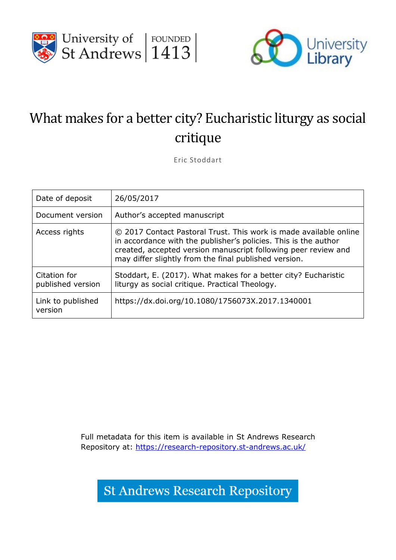



# What makes for a better city? Eucharistic liturgy as social critique

Eric Stoddart

| Date of deposit                   | 26/05/2017                                                                                                                                                                                                                                                      |
|-----------------------------------|-----------------------------------------------------------------------------------------------------------------------------------------------------------------------------------------------------------------------------------------------------------------|
| Document version                  | Author's accepted manuscript                                                                                                                                                                                                                                    |
| Access rights                     | © 2017 Contact Pastoral Trust. This work is made available online<br>in accordance with the publisher's policies. This is the author<br>created, accepted version manuscript following peer review and<br>may differ slightly from the final published version. |
| Citation for<br>published version | Stoddart, E. (2017). What makes for a better city? Eucharistic<br>liturgy as social critique. Practical Theology.                                                                                                                                               |
| Link to published<br>version      | https://dx.doi.org/10.1080/1756073X.2017.1340001                                                                                                                                                                                                                |

Full metadata for this item is available in St Andrews Research Repository at:<https://research-repository.st-andrews.ac.uk/>

**St Andrews Research Repository**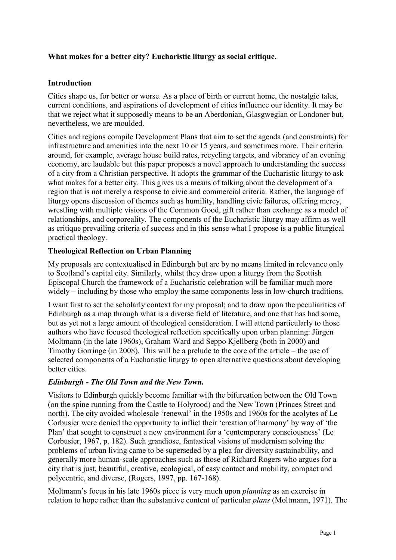# **What makes for a better city? Eucharistic liturgy as social critique.**

### **Introduction**

Cities shape us, for better or worse. As a place of birth or current home, the nostalgic tales, current conditions, and aspirations of development of cities influence our identity. It may be that we reject what it supposedly means to be an Aberdonian, Glasgwegian or Londoner but, nevertheless, we are moulded.

Cities and regions compile Development Plans that aim to set the agenda (and constraints) for infrastructure and amenities into the next 10 or 15 years, and sometimes more. Their criteria around, for example, average house build rates, recycling targets, and vibrancy of an evening economy, are laudable but this paper proposes a novel approach to understanding the success of a city from a Christian perspective. It adopts the grammar of the Eucharistic liturgy to ask what makes for a better city. This gives us a means of talking about the development of a region that is not merely a response to civic and commercial criteria. Rather, the language of liturgy opens discussion of themes such as humility, handling civic failures, offering mercy, wrestling with multiple visions of the Common Good, gift rather than exchange as a model of relationships, and corporeality. The components of the Eucharistic liturgy may affirm as well as critique prevailing criteria of success and in this sense what I propose is a public liturgical practical theology.

### **Theological Reflection on Urban Planning**

My proposals are contextualised in Edinburgh but are by no means limited in relevance only to Scotland's capital city. Similarly, whilst they draw upon a liturgy from the Scottish Episcopal Church the framework of a Eucharistic celebration will be familiar much more widely – including by those who employ the same components less in low-church traditions.

I want first to set the scholarly context for my proposal; and to draw upon the peculiarities of Edinburgh as a map through what is a diverse field of literature, and one that has had some, but as yet not a large amount of theological consideration. I will attend particularly to those authors who have focused theological reflection specifically upon urban planning: Jürgen Moltmann (in the late 1960s), Graham Ward and Seppo Kjellberg (both in 2000) and Timothy Gorringe (in 2008). This will be a prelude to the core of the article – the use of selected components of a Eucharistic liturgy to open alternative questions about developing better cities.

# *Edinburgh - The Old Town and the New Town.*

Visitors to Edinburgh quickly become familiar with the bifurcation between the Old Town (on the spine running from the Castle to Holyrood) and the New Town (Princes Street and north). The city avoided wholesale 'renewal' in the 1950s and 1960s for the acolytes of Le Corbusier were denied the opportunity to inflict their 'creation of harmony' by way of 'the Plan' that sought to construct a new environment for a 'contemporary consciousness' (Le Corbusier, 1967, p. 182). Such grandiose, fantastical visions of modernism solving the problems of urban living came to be superseded by a plea for diversity sustainability, and generally more human-scale approaches such as those of Richard Rogers who argues for a city that is just, beautiful, creative, ecological, of easy contact and mobility, compact and polycentric, and diverse, (Rogers, 1997, pp. 167-168).

Moltmann's focus in his late 1960s piece is very much upon *planning* as an exercise in relation to hope rather than the substantive content of particular *plans* (Moltmann, 1971). The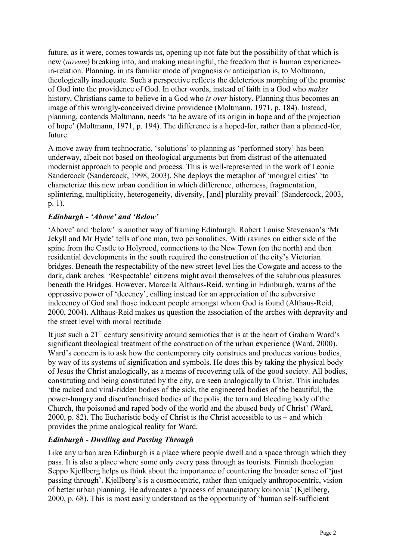future, as it were, comes towards us, opening up not fate but the possibility of that which is new (*novum*) breaking into, and making meaningful, the freedom that is human experiencein-relation. Planning, in its familiar mode of prognosis or anticipation is, to Moltmann, theologically inadequate. Such a perspective reflects the deleterious morphing of the promise of God into the providence of God. In other words, instead of faith in a God who *makes* history, Christians came to believe in a God who *is over* history. Planning thus becomes an image of this wrongly-conceived divine providence (Moltmann, 1971, p. 184). Instead, planning, contends Moltmann, needs 'to be aware of its origin in hope and of the projection of hope' (Moltmann, 1971, p. 194). The difference is a hoped-for, rather than a planned-for, future.

A move away from technocratic, 'solutions' to planning as 'performed story' has been underway, albeit not based on theological arguments but from distrust of the attenuated modernist approach to people and process. This is well-represented in the work of Leonie Sandercock (Sandercock, 1998, 2003). She deploys the metaphor of 'mongrel cities' 'to characterize this new urban condition in which difference, otherness, fragmentation, splintering, multiplicity, heterogeneity, diversity, [and] plurality prevail' (Sandercock, 2003, p. 1).

# *Edinburgh - 'Above' and 'Below'*

'Above' and 'below' is another way of framing Edinburgh. Robert Louise Stevenson's 'Mr Jekyll and Mr Hyde' tells of one man, two personalities. With ravines on either side of the spine from the Castle to Holyrood, connections to the New Town (on the north) and then residential developments in the south required the construction of the city's Victorian bridges. Beneath the respectability of the new street level lies the Cowgate and access to the dark, dank arches. 'Respectable' citizens might avail themselves of the salubrious pleasures beneath the Bridges. However, Marcella Althaus-Reid, writing in Edinburgh, warns of the oppressive power of 'decency', calling instead for an appreciation of the subversive indecency of God and those indecent people amongst whom God is found (Althaus-Reid, 2000, 2004). Althaus-Reid makes us question the association of the arches with depravity and the street level with moral rectitude

It just such a 21st century sensitivity around semiotics that is at the heart of Graham Ward's significant theological treatment of the construction of the urban experience (Ward, 2000). Ward's concern is to ask how the contemporary city construes and produces various bodies, by way of its systems of signification and symbols. He does this by taking the physical body of Jesus the Christ analogically, as a means of recovering talk of the good society. All bodies, constituting and being constituted by the city, are seen analogically to Christ. This includes 'the racked and viral-ridden bodies of the sick, the engineered bodies of the beautiful, the power-hungry and disenfranchised bodies of the polis, the torn and bleeding body of the Church, the poisoned and raped body of the world and the abused body of Christ' (Ward, 2000, p. 82). The Eucharistic body of Christ is the Christ accessible to us – and which provides the prime analogical reality for Ward.

# *Edinburgh - Dwelling and Passing Through*

Like any urban area Edinburgh is a place where people dwell and a space through which they pass. It is also a place where some only every pass through as tourists. Finnish theologian Seppo Kjellberg helps us think about the importance of countering the broader sense of 'just passing through'. Kjellberg's is a cosmocentric, rather than uniquely anthropocentric, vision of better urban planning. He advocates a 'process of emancipatory koinonia' (Kjellberg, 2000, p. 68). This is most easily understood as the opportunity of 'human self-sufficient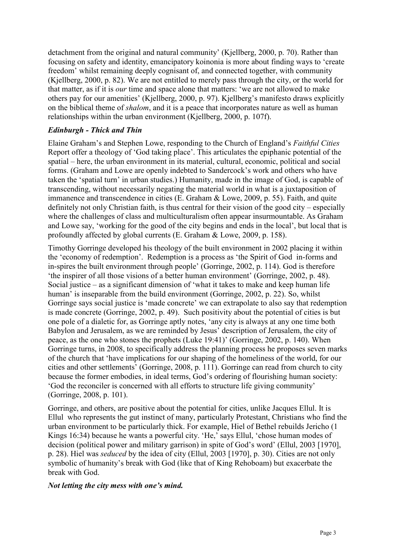detachment from the original and natural community' (Kjellberg, 2000, p. 70). Rather than focusing on safety and identity, emancipatory koinonia is more about finding ways to 'create freedom' whilst remaining deeply cognisant of, and connected together, with community (Kjellberg, 2000, p. 82). We are not entitled to merely pass through the city, or the world for that matter, as if it is *our* time and space alone that matters: 'we are not allowed to make others pay for our amenities' (Kjellberg, 2000, p. 97). Kjellberg's manifesto draws explicitly on the biblical theme of *shalom*, and it is a peace that incorporates nature as well as human relationships within the urban environment (Kjellberg, 2000, p. 107f).

# *Edinburgh - Thick and Thin*

Elaine Graham's and Stephen Lowe, responding to the Church of England's *Faithful Cities*  Report offer a theology of 'God taking place'. This articulates the epiphanic potential of the spatial – here, the urban environment in its material, cultural, economic, political and social forms. (Graham and Lowe are openly indebted to Sandercock's work and others who have taken the 'spatial turn' in urban studies.) Humanity, made in the image of God, is capable of transcending, without necessarily negating the material world in what is a juxtaposition of immanence and transcendence in cities (E. Graham & Lowe, 2009, p. 55). Faith, and quite definitely not only Christian faith, is thus central for their vision of the good city – especially where the challenges of class and multiculturalism often appear insurmountable. As Graham and Lowe say, 'working for the good of the city begins and ends in the local', but local that is profoundly affected by global currents (E. Graham & Lowe, 2009, p. 158).

Timothy Gorringe developed his theology of the built environment in 2002 placing it within the 'economy of redemption'. Redemption is a process as 'the Spirit of God in-forms and in-spires the built environment through people' (Gorringe, 2002, p. 114). God is therefore 'the inspirer of all those visions of a better human environment' (Gorringe, 2002, p. 48). Social justice – as a significant dimension of 'what it takes to make and keep human life human' is inseparable from the build environment (Gorringe, 2002, p. 22). So, whilst Gorringe says social justice is 'made concrete' we can extrapolate to also say that redemption is made concrete (Gorringe, 2002, p. 49). Such positivity about the potential of cities is but one pole of a dialetic for, as Gorringe aptly notes, 'any city is always at any one time both Babylon and Jerusalem, as we are reminded by Jesus' description of Jerusalem, the city of peace, as the one who stones the prophets (Luke 19:41)' (Gorringe, 2002, p. 140). When Gorringe turns, in 2008, to specifically address the planning process he proposes seven marks of the church that 'have implications for our shaping of the homeliness of the world, for our cities and other settlements' (Gorringe, 2008, p. 111). Gorringe can read from church to city because the former embodies, in ideal terms, God's ordering of flourishing human society: 'God the reconciler is concerned with all efforts to structure life giving community' (Gorringe, 2008, p. 101).

Gorringe, and others, are positive about the potential for cities, unlike Jacques Ellul. It is Ellul who represents the gut instinct of many, particularly Protestant, Christians who find the urban environment to be particularly thick. For example, Hiel of Bethel rebuilds Jericho (1 Kings 16:34) because he wants a powerful city. 'He,' says Ellul, 'chose human modes of decision (political power and military garrison) in spite of God's word' (Ellul, 2003 [1970], p. 28). Hiel was *seduced* by the idea of city (Ellul, 2003 [1970], p. 30). Cities are not only symbolic of humanity's break with God (like that of King Rehoboam) but exacerbate the break with God.

# *Not letting the city mess with one's mind.*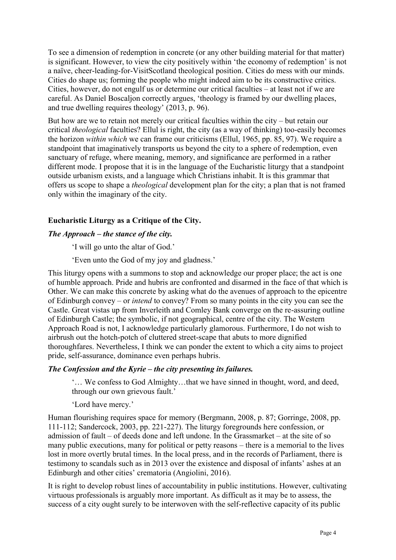To see a dimension of redemption in concrete (or any other building material for that matter) is significant. However, to view the city positively within 'the economy of redemption' is not a naïve, cheer-leading-for-VisitScotland theological position. Cities do mess with our minds. Cities do shape us; forming the people who might indeed aim to be its constructive critics. Cities, however, do not engulf us or determine our critical faculties – at least not if we are careful. As Daniel Boscaljon correctly argues, 'theology is framed by our dwelling places, and true dwelling requires theology' (2013, p. 96).

But how are we to retain not merely our critical faculties within the city – but retain our critical *theological* faculties? Ellul is right, the city (as a way of thinking) too-easily becomes the horizon *within which* we can frame our criticisms (Ellul, 1965, pp. 85, 97). We require a standpoint that imaginatively transports us beyond the city to a sphere of redemption, even sanctuary of refuge, where meaning, memory, and significance are performed in a rather different mode. I propose that it is in the language of the Eucharistic liturgy that a standpoint outside urbanism exists, and a language which Christians inhabit. It is this grammar that offers us scope to shape a *theological* development plan for the city; a plan that is not framed only within the imaginary of the city.

### **Eucharistic Liturgy as a Critique of the City.**

#### *The Approach – the stance of the city.*

'I will go unto the altar of God.'

'Even unto the God of my joy and gladness.'

This liturgy opens with a summons to stop and acknowledge our proper place; the act is one of humble approach. Pride and hubris are confronted and disarmed in the face of that which is Other. We can make this concrete by asking what do the avenues of approach to the epicentre of Edinburgh convey – or *intend* to convey? From so many points in the city you can see the Castle. Great vistas up from Inverleith and Comley Bank converge on the re-assuring outline of Edinburgh Castle; the symbolic, if not geographical, centre of the city. The Western Approach Road is not, I acknowledge particularly glamorous. Furthermore, I do not wish to airbrush out the hotch-potch of cluttered street-scape that abuts to more dignified thoroughfares. Nevertheless, I think we can ponder the extent to which a city aims to project pride, self-assurance, dominance even perhaps hubris.

### *The Confession and the Kyrie – the city presenting its failures.*

'… We confess to God Almighty…that we have sinned in thought, word, and deed, through our own grievous fault.'

'Lord have mercy.'

Human flourishing requires space for memory (Bergmann, 2008, p. 87; Gorringe, 2008, pp. 111-112; Sandercock, 2003, pp. 221-227). The liturgy foregrounds here confession, or admission of fault – of deeds done and left undone. In the Grassmarket – at the site of so many public executions, many for political or petty reasons – there is a memorial to the lives lost in more overtly brutal times. In the local press, and in the records of Parliament, there is testimony to scandals such as in 2013 over the existence and disposal of infants' ashes at an Edinburgh and other cities' crematoria (Angiolini, 2016).

It is right to develop robust lines of accountability in public institutions. However, cultivating virtuous professionals is arguably more important. As difficult as it may be to assess, the success of a city ought surely to be interwoven with the self-reflective capacity of its public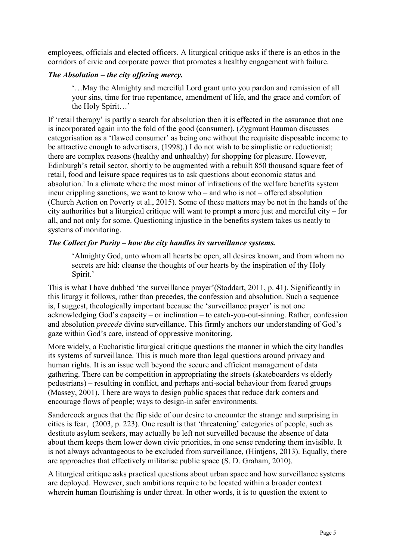employees, officials and elected officers. A liturgical critique asks if there is an ethos in the corridors of civic and corporate power that promotes a healthy engagement with failure.

# *The Absolution – the city offering mercy.*

'…May the Almighty and merciful Lord grant unto you pardon and remission of all your sins, time for true repentance, amendment of life, and the grace and comfort of the Holy Spirit…'

If 'retail therapy' is partly a search for absolution then it is effected in the assurance that one is incorporated again into the fold of the good (consumer). (Zygmunt Bauman discusses categorisation as a 'flawed consumer' as being one without the requisite disposable income to be attractive enough to advertisers, (1998).) I do not wish to be simplistic or reductionist; there are complex reasons (healthy and unhealthy) for shopping for pleasure. However, Edinburgh's retail sector, shortly to be augmented with a rebuilt 850 thousand square feet of retail, food and leisure space requires us to ask questions about economic status and absolution.<sup>i</sup> In a climate where the most minor of infractions of the welfare benefits system incur crippling sanctions, we want to know who – and who is not – offered absolution (Church Action on Poverty et al., 2015). Some of these matters may be not in the hands of the city authorities but a liturgical critique will want to prompt a more just and merciful city – for all, and not only for some. Questioning injustice in the benefits system takes us neatly to systems of monitoring.

### *The Collect for Purity – how the city handles its surveillance systems.*

'Almighty God, unto whom all hearts be open, all desires known, and from whom no secrets are hid: cleanse the thoughts of our hearts by the inspiration of thy Holy Spirit.'

This is what I have dubbed 'the surveillance prayer'(Stoddart, 2011, p. 41). Significantly in this liturgy it follows, rather than precedes, the confession and absolution. Such a sequence is, I suggest, theologically important because the 'surveillance prayer' is not one acknowledging God's capacity – or inclination – to catch-you-out-sinning. Rather, confession and absolution *precede* divine surveillance. This firmly anchors our understanding of God's gaze within God's care, instead of oppressive monitoring.

More widely, a Eucharistic liturgical critique questions the manner in which the city handles its systems of surveillance. This is much more than legal questions around privacy and human rights. It is an issue well beyond the secure and efficient management of data gathering. There can be competition in appropriating the streets (skateboarders vs elderly pedestrians) – resulting in conflict, and perhaps anti-social behaviour from feared groups (Massey, 2001). There are ways to design public spaces that reduce dark corners and encourage flows of people; ways to design-in safer environments.

Sandercock argues that the flip side of our desire to encounter the strange and surprising in cities is fear, (2003, p. 223). One result is that 'threatening' categories of people, such as destitute asylum seekers, may actually be left not surveilled because the absence of data about them keeps them lower down civic priorities, in one sense rendering them invisible. It is not always advantageous to be excluded from surveillance, (Hintjens, 2013). Equally, there are approaches that effectively militarise public space (S. D. Graham, 2010).

A liturgical critique asks practical questions about urban space and how surveillance systems are deployed. However, such ambitions require to be located within a broader context wherein human flourishing is under threat. In other words, it is to question the extent to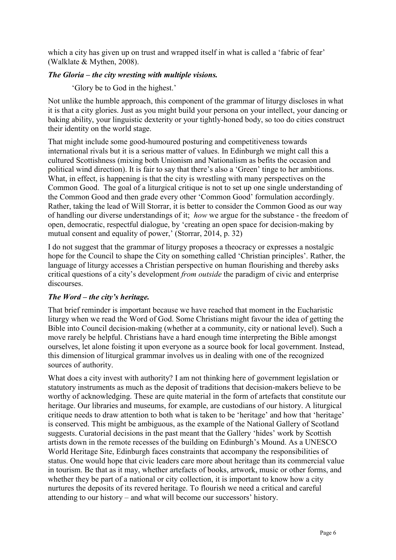which a city has given up on trust and wrapped itself in what is called a 'fabric of fear' (Walklate & Mythen, 2008).

## *The Gloria – the city wresting with multiple visions.*

'Glory be to God in the highest.'

Not unlike the humble approach, this component of the grammar of liturgy discloses in what it is that a city glories. Just as you might build your persona on your intellect, your dancing or baking ability, your linguistic dexterity or your tightly-honed body, so too do cities construct their identity on the world stage.

That might include some good-humoured posturing and competitiveness towards international rivals but it is a serious matter of values. In Edinburgh we might call this a cultured Scottishness (mixing both Unionism and Nationalism as befits the occasion and political wind direction). It is fair to say that there's also a 'Green' tinge to her ambitions. What, in effect, is happening is that the city is wrestling with many perspectives on the Common Good. The goal of a liturgical critique is not to set up one single understanding of the Common Good and then grade every other 'Common Good' formulation accordingly. Rather, taking the lead of Will Storrar, it is better to consider the Common Good as our way of handling our diverse understandings of it; *how* we argue for the substance - the freedom of open, democratic, respectful dialogue, by 'creating an open space for decision-making by mutual consent and equality of power,' (Storrar, 2014, p. 32)

I do not suggest that the grammar of liturgy proposes a theocracy or expresses a nostalgic hope for the Council to shape the City on something called 'Christian principles'. Rather, the language of liturgy accesses a Christian perspective on human flourishing and thereby asks critical questions of a city's development *from outside* the paradigm of civic and enterprise discourses.

# *The Word – the city's heritage.*

That brief reminder is important because we have reached that moment in the Eucharistic liturgy when we read the Word of God. Some Christians might favour the idea of getting the Bible into Council decision-making (whether at a community, city or national level). Such a move rarely be helpful. Christians have a hard enough time interpreting the Bible amongst ourselves, let alone foisting it upon everyone as a source book for local government. Instead, this dimension of liturgical grammar involves us in dealing with one of the recognized sources of authority.

What does a city invest with authority? I am not thinking here of government legislation or statutory instruments as much as the deposit of traditions that decision-makers believe to be worthy of acknowledging. These are quite material in the form of artefacts that constitute our heritage. Our libraries and museums, for example, are custodians of our history. A liturgical critique needs to draw attention to both what is taken to be 'heritage' and how that 'heritage' is conserved. This might be ambiguous, as the example of the National Gallery of Scotland suggests. Curatorial decisions in the past meant that the Gallery 'hides' work by Scottish artists down in the remote recesses of the building on Edinburgh's Mound. As a UNESCO World Heritage Site, Edinburgh faces constraints that accompany the responsibilities of status. One would hope that civic leaders care more about heritage than its commercial value in tourism. Be that as it may, whether artefacts of books, artwork, music or other forms, and whether they be part of a national or city collection, it is important to know how a city nurtures the deposits of its revered heritage. To flourish we need a critical and careful attending to our history – and what will become our successors' history.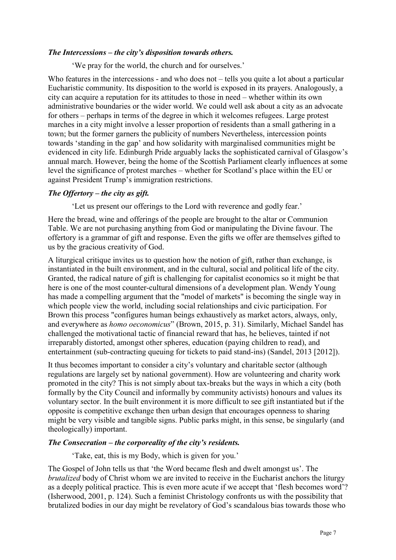#### *The Intercessions – the city's disposition towards others.*

'We pray for the world, the church and for ourselves.'

Who features in the intercessions - and who does not – tells you quite a lot about a particular Eucharistic community. Its disposition to the world is exposed in its prayers. Analogously, a city can acquire a reputation for its attitudes to those in need – whether within its own administrative boundaries or the wider world. We could well ask about a city as an advocate for others – perhaps in terms of the degree in which it welcomes refugees. Large protest marches in a city might involve a lesser proportion of residents than a small gathering in a town; but the former garners the publicity of numbers Nevertheless, intercession points towards 'standing in the gap' and how solidarity with marginalised communities might be evidenced in city life. Edinburgh Pride arguably lacks the sophisticated carnival of Glasgow's annual march. However, being the home of the Scottish Parliament clearly influences at some level the significance of protest marches – whether for Scotland's place within the EU or against President Trump's immigration restrictions.

### *The Offertory – the city as gift.*

'Let us present our offerings to the Lord with reverence and godly fear.'

Here the bread, wine and offerings of the people are brought to the altar or Communion Table. We are not purchasing anything from God or manipulating the Divine favour. The offertory is a grammar of gift and response. Even the gifts we offer are themselves gifted to us by the gracious creativity of God.

A liturgical critique invites us to question how the notion of gift, rather than exchange, is instantiated in the built environment, and in the cultural, social and political life of the city. Granted, the radical nature of gift is challenging for capitalist economics so it might be that here is one of the most counter-cultural dimensions of a development plan. Wendy Young has made a compelling argument that the "model of markets" is becoming the single way in which people view the world, including social relationships and civic participation. For Brown this process "configures human beings exhaustively as market actors, always, only, and everywhere as *homo oeconomicus*" (Brown, 2015, p. 31). Similarly, Michael Sandel has challenged the motivational tactic of financial reward that has, he believes, tainted if not irreparably distorted, amongst other spheres, education (paying children to read), and entertainment (sub-contracting queuing for tickets to paid stand-ins) (Sandel, 2013 [2012]).

It thus becomes important to consider a city's voluntary and charitable sector (although regulations are largely set by national government). How are volunteering and charity work promoted in the city? This is not simply about tax-breaks but the ways in which a city (both formally by the City Council and informally by community activists) honours and values its voluntary sector. In the built environment it is more difficult to see gift instantiated but if the opposite is competitive exchange then urban design that encourages openness to sharing might be very visible and tangible signs. Public parks might, in this sense, be singularly (and theologically) important.

#### *The Consecration – the corporeality of the city's residents.*

'Take, eat, this is my Body, which is given for you.'

The Gospel of John tells us that 'the Word became flesh and dwelt amongst us'. The *brutalized* body of Christ whom we are invited to receive in the Eucharist anchors the liturgy as a deeply political practice. This is even more acute if we accept that 'flesh becomes word'? (Isherwood, 2001, p. 124). Such a feminist Christology confronts us with the possibility that brutalized bodies in our day might be revelatory of God's scandalous bias towards those who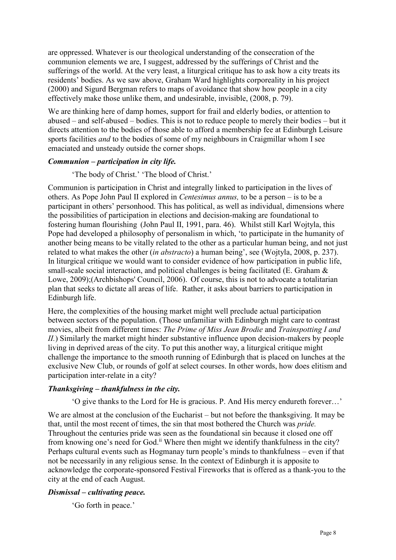are oppressed. Whatever is our theological understanding of the consecration of the communion elements we are, I suggest, addressed by the sufferings of Christ and the sufferings of the world. At the very least, a liturgical critique has to ask how a city treats its residents' bodies. As we saw above, Graham Ward highlights corporeality in his project (2000) and Sigurd Bergman refers to maps of avoidance that show how people in a city effectively make those unlike them, and undesirable, invisible, (2008, p. 79).

We are thinking here of damp homes, support for frail and elderly bodies, or attention to abused – and self-abused – bodies. This is not to reduce people to merely their bodies – but it directs attention to the bodies of those able to afford a membership fee at Edinburgh Leisure sports facilities *and* to the bodies of some of my neighbours in Craigmillar whom I see emaciated and unsteady outside the corner shops.

### *Communion – participation in city life.*

### 'The body of Christ.' 'The blood of Christ.'

Communion is participation in Christ and integrally linked to participation in the lives of others. As Pope John Paul II explored in *Centesimus annus,* to be a person – is to be a participant in others' personhood. This has political, as well as individual, dimensions where the possibilities of participation in elections and decision-making are foundational to fostering human flourishing (John Paul II, 1991, para. 46). Whilst still Karl Wojtyla, this Pope had developed a philosophy of personalism in which, 'to participate in the humanity of another being means to be vitally related to the other as a particular human being, and not just related to what makes the other (*in abstracto*) a human being', see (Wojtyla, 2008, p. 237). In liturgical critique we would want to consider evidence of how participation in public life, small-scale social interaction, and political challenges is being facilitated (E. Graham & Lowe, 2009);(Archbishops' Council, 2006). Of course, this is not to advocate a totalitarian plan that seeks to dictate all areas of life. Rather, it asks about barriers to participation in Edinburgh life.

Here, the complexities of the housing market might well preclude actual participation between sectors of the population. (Those unfamiliar with Edinburgh might care to contrast movies, albeit from different times: *The Prime of Miss Jean Brodie* and *Trainspotting I and II.*) Similarly the market might hinder substantive influence upon decision-makers by people living in deprived areas of the city. To put this another way, a liturgical critique might challenge the importance to the smooth running of Edinburgh that is placed on lunches at the exclusive New Club, or rounds of golf at select courses. In other words, how does elitism and participation inter-relate in a city?

# *Thanksgiving – thankfulness in the city.*

'O give thanks to the Lord for He is gracious. P. And His mercy endureth forever…'

We are almost at the conclusion of the Eucharist – but not before the thanksgiving. It may be that, until the most recent of times, the sin that most bothered the Church was *pride.* Throughout the centuries pride was seen as the foundational sin because it closed one off from knowing one's need for God.<sup>ii</sup> Where then might we identify thankfulness in the city? Perhaps cultural events such as Hogmanay turn people's minds to thankfulness – even if that not be necessarily in any religious sense. In the context of Edinburgh it is apposite to acknowledge the corporate-sponsored Festival Fireworks that is offered as a thank-you to the city at the end of each August.

# *Dismissal – cultivating peace.*

'Go forth in peace.'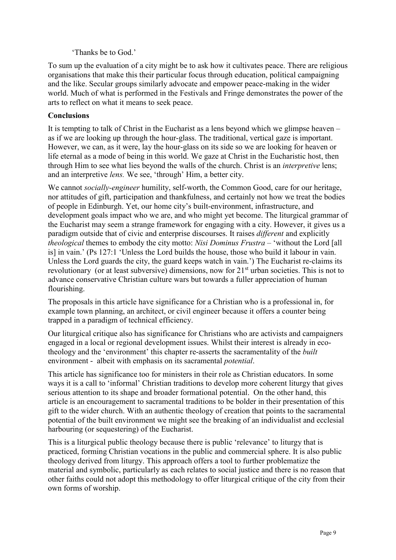'Thanks be to God.'

To sum up the evaluation of a city might be to ask how it cultivates peace. There are religious organisations that make this their particular focus through education, political campaigning and the like. Secular groups similarly advocate and empower peace-making in the wider world. Much of what is performed in the Festivals and Fringe demonstrates the power of the arts to reflect on what it means to seek peace.

### **Conclusions**

It is tempting to talk of Christ in the Eucharist as a lens beyond which we glimpse heaven – as if we are looking up through the hour-glass. The traditional, vertical gaze is important. However, we can, as it were, lay the hour-glass on its side so we are looking for heaven or life eternal as a mode of being in this world. We gaze at Christ in the Eucharistic host, then through Him to see what lies beyond the walls of the church. Christ is an *interpretive* lens; and an interpretive *lens.* We see, 'through' Him, a better city.

We cannot *socially-engineer* humility, self-worth, the Common Good, care for our heritage, nor attitudes of gift, participation and thankfulness, and certainly not how we treat the bodies of people in Edinburgh. Yet, our home city's built-environment, infrastructure, and development goals impact who we are, and who might yet become. The liturgical grammar of the Eucharist may seem a strange framework for engaging with a city. However, it gives us a paradigm outside that of civic and enterprise discourses. It raises *different* and explicitly *theological* themes to embody the city motto: *Nisi Dominus Frustra* – 'without the Lord [all is] in vain.' (Ps 127:1 'Unless the Lord builds the house, those who build it labour in vain. Unless the Lord guards the city, the guard keeps watch in vain.') The Eucharist re-claims its revolutionary (or at least subversive) dimensions, now for 21<sup>st</sup> urban societies. This is not to advance conservative Christian culture wars but towards a fuller appreciation of human flourishing.

The proposals in this article have significance for a Christian who is a professional in, for example town planning, an architect, or civil engineer because it offers a counter being trapped in a paradigm of technical efficiency.

Our liturgical critique also has significance for Christians who are activists and campaigners engaged in a local or regional development issues. Whilst their interest is already in ecotheology and the 'environment' this chapter re-asserts the sacramentality of the *built* environment - albeit with emphasis on its sacramental *potential*.

This article has significance too for ministers in their role as Christian educators. In some ways it is a call to 'informal' Christian traditions to develop more coherent liturgy that gives serious attention to its shape and broader formational potential. On the other hand, this article is an encouragement to sacramental traditions to be bolder in their presentation of this gift to the wider church. With an authentic theology of creation that points to the sacramental potential of the built environment we might see the breaking of an individualist and ecclesial harbouring (or sequestering) of the Eucharist.

This is a liturgical public theology because there is public 'relevance' to liturgy that is practiced, forming Christian vocations in the public and commercial sphere. It is also public theology derived from liturgy. This approach offers a tool to further problematize the material and symbolic, particularly as each relates to social justice and there is no reason that other faiths could not adopt this methodology to offer liturgical critique of the city from their own forms of worship.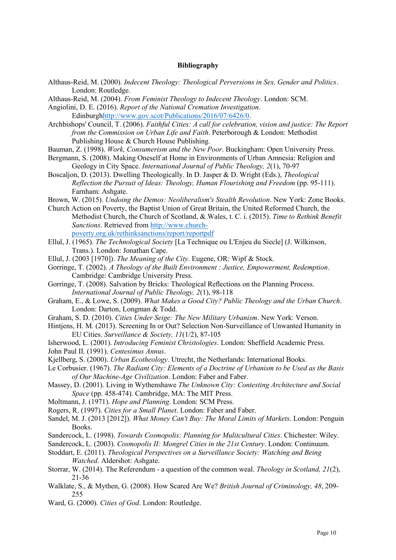#### **Bibliography**

- Althaus-Reid, M. (2000). *Indecent Theology: Theological Perversions in Sex, Gender and Politics*. London: Routledge.
- Althaus-Reid, M. (2004). *From Feminist Theology to Indecent Theology*. London: SCM.
- Angiolini, D. E. (2016). *Report of the National Cremation Investigation*. Edinburg[hhttp://www.gov.scot/Publications/2016/07/6426/0.](http://www.gov.scot/Publications/2016/07/6426/0)

Archbishops' Council, T. (2006). *Faithful Cities: A call for celebration, vision and justice: The Report from the Commission on Urban Life and Faith*. Peterborough & London: Methodist Publishing House & Church House Publishing.

- Bauman, Z. (1998). *Work, Consumerism and the New Poor*. Buckingham: Open University Press.
- Bergmann, S. (2008). Making Oneself at Home in Environments of Urban Amnesia: Religion and Geology in City Space. *International Journal of Public Theology, 2*(1), 70-97
- Boscaljon, D. (2013). Dwelling Theologically. In D. Jasper & D. Wright (Eds.), *Theological Reflection the Pursuit of Ideas: Theology, Human Flourishing and Freedom* (pp. 95-111). Farnham: Ashgate.
- Brown, W. (2015). *Undoing the Demos: Neoliberalism's Stealth Revolution*. New York: Zone Books.
- Church Action on Poverty, the Baptist Union of Great Britain, the United Reformed Church, the Methodist Church, the Church of Scotland, & Wales, t. C. i. (2015). *Time to Rethink Benefit Sanctions*. Retrieved from [http://www.church](http://www.church-poverty.org.uk/rethinksanctions/report/reportpdf)[poverty.org.uk/rethinksanctions/report/reportpdf](http://www.church-poverty.org.uk/rethinksanctions/report/reportpdf)
- Ellul, J. (1965). *The Technological Society* [La Technique ou L'Enjeu du Siecle] (J. Wilkinson, Trans.). London: Jonathan Cape.
- Ellul, J. (2003 [1970]). *The Meaning of the City*. Eugene, OR: Wipf & Stock.
- Gorringe, T. (2002). *A Theology of the Built Environment : Justice, Empowerment, Redemption*. Cambridge: Cambridge University Press.
- Gorringe, T. (2008). Salvation by Bricks: Theological Reflections on the Planning Process. *International Journal of Public Theology, 2*(1), 98-118
- Graham, E., & Lowe, S. (2009). *What Makes a Good City? Public Theology and the Urban Church*. London: Darton, Longman & Todd.
- Graham, S. D. (2010). *Cities Under Seige: The New Military Urbanism*. New York: Verson.
- Hintjens, H. M. (2013). Screening In or Out? Selection Non-Surveillance of Unwanted Humanity in EU Cities. *Surveillance & Society, 11*(1/2), 87-105
- Isherwood, L. (2001). *Introducing Feminist Christologies*. London: Sheffield Academic Press.
- John Paul II. (1991). *Centesimus Annus*.
- Kjellberg, S. (2000). *Urban Ecotheology*. Utrecht, the Netherlands: International Books.
- Le Corbusier. (1967). *The Radiant City: Elements of a Doctrine of Urbanism to be Used as the Basis of Our Machine-Age Civilization*. London: Faber and Faber.
- Massey, D. (2001). Living in Wythenshawe *The Unknown City: Contesting Architecture and Social Space* (pp. 458-474). Cambridge, MA: The MIT Press.
- Moltmann, J. (1971). *Hope and Planning*. London: SCM Press.
- Rogers, R. (1997). *Cities for a Small Planet*. London: Faber and Faber.
- Sandel, M. J. (2013 [2012]). *What Money Can't Buy: The Moral Limits of Markets*. London: Penguin Books.
- Sandercock, L. (1998). *Towards Cosmopolis: Planning for Mulitcultural Cities*. Chichester: Wiley.
- Sandercock, L. (2003). *Cosmopolis II: Mongrel Cities in the 21st Century*. London: Continuum.
- Stoddart, E. (2011). *Theological Perspectives on a Surveillance Society: Watching and Being Watched*. Aldershot: Ashgate.
- Storrar, W. (2014). The Referendum a question of the common weal. *Theology in Scotland, 21*(2), 21-36
- Walklate, S., & Mythen, G. (2008). How Scared Are We? *British Journal of Criminology, 48*, 209- 255
- Ward, G. (2000). *Cities of God*. London: Routledge.